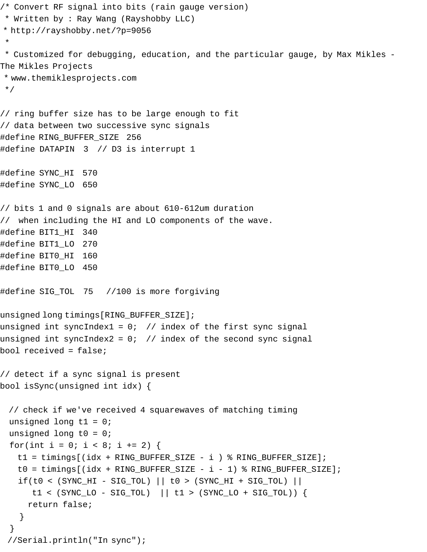```
/* Convert RF signal into bits (rain gauge version) 
 * Written by : Ray Wang (Rayshobby LLC)
* http://rayshobby.net/?p=9056
 * 
 * Customized for debugging, education, and the particular gauge, by Max Mikles - 
The Mikles Projects
 * www.themiklesprojects.com
 */
// ring buffer size has to be large enough to fit
// data between two successive sync signals
#define RING_BUFFER_SIZE 256
#define DATAPIN 3 // D3 is interrupt 1
#define SYNC_HI 570
#define SYNC_LO 650
// bits 1 and 0 signals are about 610-612um duration
// when including the HI and LO components of the wave.
#define BIT1_HI 340
#define BIT1_LO 270
#define BIT0_HI 160
#define BIT0_LO 450
#define SIG_TOL 75 //100 is more forgiving
unsigned long timings[RING_BUFFER_SIZE];
unsigned int syncIndex1 = 0; // index of the first sync signal
unsigned int syncIndex2 = 0; // index of the second sync signal
bool received = false;
// detect if a sync signal is present
bool isSync(unsigned int idx) {
  // check if we've received 4 squarewaves of matching timing
 unsigned long t1 = 0;
 unsigned long t0 = 0;
 for(int i = 0; i < 8; i += 2) {
    t1 = timings[(idx + RING_BUFFER_SIZE - i ) % RING_BUFFER_SIZE];
   t0 = timings[(idx + RING_BUFFER_SIZE - i - 1) % RING_BUFFER_SIZE];
   if(t0 < (SYNC_HI - SIG_TOL) || to > (SYNC_HI + SIG_TOL) ||t1 < (SYNC\_LO - SIG\_TOL) || t1 > (SYNC\_LO + SIG\_TOL)) {
      return false;
    }
  }
  //Serial.println("In sync");
```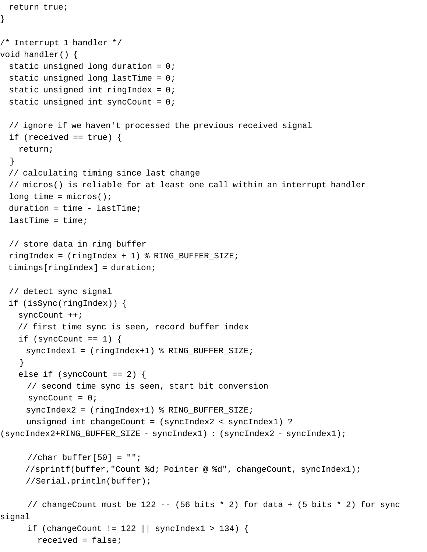```
}
/* Interrupt 1 handler */
void handler() {
  static unsigned long duration = 0;
 static unsigned long lastTime = 0;
  static unsigned int ringIndex = 0;
 static unsigned int syncCount = 0;
  // ignore if we haven't processed the previous received signal
 if (received == true) {
    return;
   }
  // calculating timing since last change
  // micros() is reliable for at least one call within an interrupt handler
 long time = micros();
 duration = time - lastTime;
 lastTime = time; // store data in ring buffer
  ringIndex = (ringIndex + 1) % RING_BUFFER_SIZE;
  timings[ringIndex] = duration;
  // detect sync signal
  if (isSync(ringIndex)) {
    syncCount ++;
    // first time sync is seen, record buffer index
   if (syncCount == 1) {
      syncIndex1 = (ringIndex+1) % RING_BUFFER_SIZE;
     } 
   else if (syncCount == 2) {
      // second time sync is seen, start bit conversion
     syncCount = 0;
      syncIndex2 = (ringIndex+1) % RING_BUFFER_SIZE;
      unsigned int changeCount = (syncIndex2 < syncIndex1) ? 
(syncIndex2+RING_BUFFER_SIZE - syncIndex1) : (syncIndex2 - syncIndex1);
     //char buffer[50] = "";
      //sprintf(buffer,"Count %d; Pointer @ %d", changeCount, syncIndex1); 
      //Serial.println(buffer);
     // changeCount must be 122 -- (56 bits * 2) for data + (5 bits * 2) for sync
signal
      if (changeCount != 122 || syncIndex1 > 134) {
        received = false;
```
return true;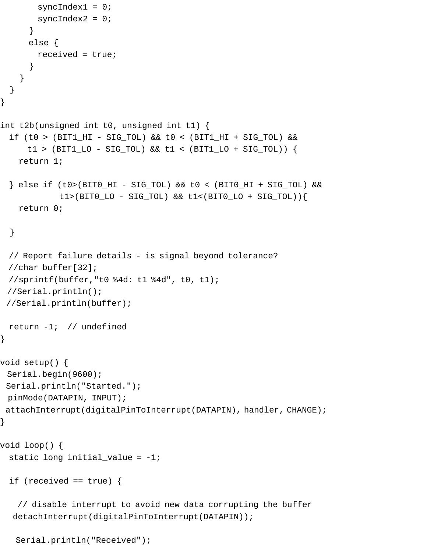```
 syncIndex1 = 0;
       syncIndex2 = 0;
       } 
      else {
        received = true;
       }
     }
  }
}
int t2b(unsigned int t0, unsigned int t1) {
  if (t0 > (BIT1_HI - SIG_TOL) && t0 < (BIT1_HI + SIG_TOL) &&
     t1 > (BIT1\_LO - SIG\_TOL) && t1 < (BIT1\_LO + SIG\_TOL) {
    return 1;
  } else if (t0>(BIT0_HI - SIG_TOL) && t0 < (BIT0_HI + SIG_TOL) &&
             t1>(BIT0_LO - SIG_TOL) && t1<(BIT0_LO + SIG_TOL)){
    return 0;
  }
  // Report failure details - is signal beyond tolerance?
  //char buffer[32];
  //sprintf(buffer,"t0 %4d: t1 %4d", t0, t1);
  //Serial.println();
  //Serial.println(buffer);
  return -1; // undefined
}
void setup() {
 Serial.begin(9600);
 Serial.println("Started.");
 pinMode(DATAPIN, INPUT);
attachInterrupt(digitalPinToInterrupt(DATAPIN), handler, CHANGE);
}
void loop() {
 static long initial_value = -1;
 if (received == true) {
    // disable interrupt to avoid new data corrupting the buffer
   detachInterrupt(digitalPinToInterrupt(DATAPIN));
```

```
 Serial.println("Received");
```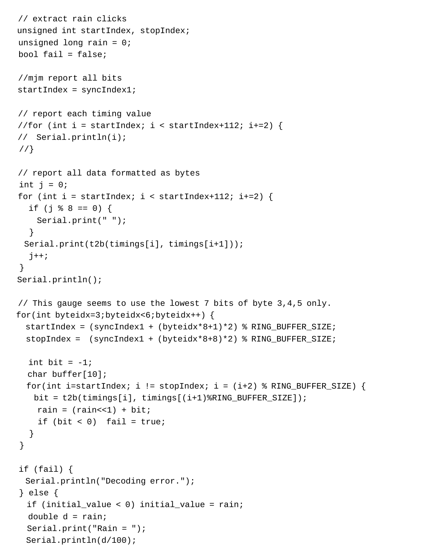```
 // extract rain clicks
 unsigned int startIndex, stopIndex;
unsigned long rain = 0;
bool fail = false;
 //mjm report all bits
 startIndex = syncIndex1;
 // report each timing value
//for (int i = startIndex; i < startIndex+112; i+=2) {
 // Serial.println(i);
 //}
 // report all data formatted as bytes
int j = 0;
for (int i = startIndex; i < startIndex+112; i+=2) {
  if (j % 8 == 0) {
     Serial.print(" "); 
   }
  Serial.print(t2b(timings[i], timings[i+1]));
  j++; }
 Serial.println();
 // This gauge seems to use the lowest 7 bits of byte 3,4,5 only. 
 for(int byteidx=3;byteidx<6;byteidx++) {
   startIndex = (syncIndex1 + (byteidx*8+1)*2) % RING_BUFFER_SIZE;
   stopIndex = (syncIndex1 + (byteidx*8+8)*2) % RING_BUFFER_SIZE;
  int bit = -1;
   char buffer[10];
  for(int i=startIndex; i != stopIndex; i = (i+2) % RING_BUFFER_SIZE) {
    bit = t2b(timings[i], timings[(i+1)%RING_BUFFER_SIZE]);
    rain = (\text{rain} < 1) + \text{bit};
    if (bit < 0) fail = true;
   }
 }
 if (fail) {
  Serial.println("Decoding error.");
 } else {
   if (initial_value < 0) initial_value = rain;
  double d = \text{rain};
   Serial.print("Rain = ");
   Serial.println(d/100);
```